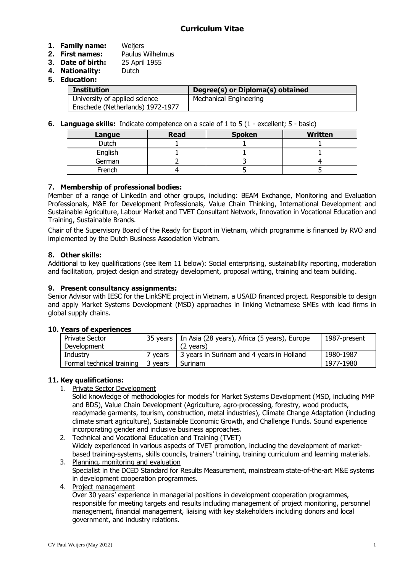## **1. Family name:** Weijers

- **2. First names:** Paulus Wilhelmus
- **3. Date of birth:** 25 April 1955
- **4. Nationality:** Dutch
- **5. Education:**

| <b>Institution</b>               | Degree(s) or Diploma(s) obtained |
|----------------------------------|----------------------------------|
| University of applied science    | Mechanical Engineering           |
| Enschede (Netherlands) 1972-1977 |                                  |

**6. Language skills:** Indicate competence on a scale of 1 to 5 (1 - excellent; 5 - basic)

| Langue       | <b>Read</b> | <b>Spoken</b> | <b>Written</b> |
|--------------|-------------|---------------|----------------|
| <b>Dutch</b> |             |               |                |
| English      |             |               |                |
| German       |             |               |                |
| French       |             |               |                |

## **7. Membership of professional bodies:**

Member of a range of LinkedIn and other groups, including: BEAM Exchange, Monitoring and Evaluation Professionals, M&E for Development Professionals, Value Chain Thinking, International Development and Sustainable Agriculture, Labour Market and TVET Consultant Network, Innovation in Vocational Education and Training, Sustainable Brands.

Chair of the Supervisory Board of the Ready for Export in Vietnam, which programme is financed by RVO and implemented by the Dutch Business Association Vietnam.

# **8. Other skills:**

Additional to key qualifications (see item 11 below): Social enterprising, sustainability reporting, moderation and facilitation, project design and strategy development, proposal writing, training and team building.

## **9. Present consultancy assignments:**

Senior Advisor with IESC for the LinkSME project in Vietnam, a USAID financed project. Responsible to design and apply Market Systems Development (MSD) approaches in linking Vietnamese SMEs with lead firms in global supply chains.

### **10. Years of experiences**

| <b>Private Sector</b>     |         | 35 years   In Asia (28 years), Africa (5 years), Europe | 1987-present |
|---------------------------|---------|---------------------------------------------------------|--------------|
| Development               |         | (2 vears)                                               |              |
| Industrv                  | ' vears | 3 years in Surinam and 4 years in Holland               | 1980-1987    |
| Formal technical training | 3 years | Surinam                                                 | 1977-1980    |

# **11. Key qualifications:**

1. Private Sector Development

Solid knowledge of methodologies for models for Market Systems Development (MSD, including M4P and BDS), Value Chain Development (Agriculture, agro-processing, forestry, wood products, readymade garments, tourism, construction, metal industries), Climate Change Adaptation (including climate smart agriculture), Sustainable Economic Growth, and Challenge Funds. Sound experience incorporating gender and inclusive business approaches.

2. Technical and Vocational Education and Training (TVET) Widely experienced in various aspects of TVET promotion, including the development of marketbased training-systems, skills councils, trainers' training, training curriculum and learning materials.

- 3. Planning, monitoring and evaluation Specialist in the DCED Standard for Results Measurement, mainstream state-of-the-art M&E systems in development cooperation programmes.
- 4. Project management

Over 30 years' experience in managerial positions in development cooperation programmes, responsible for meeting targets and results including management of project monitoring, personnel management, financial management, liaising with key stakeholders including donors and local government, and industry relations.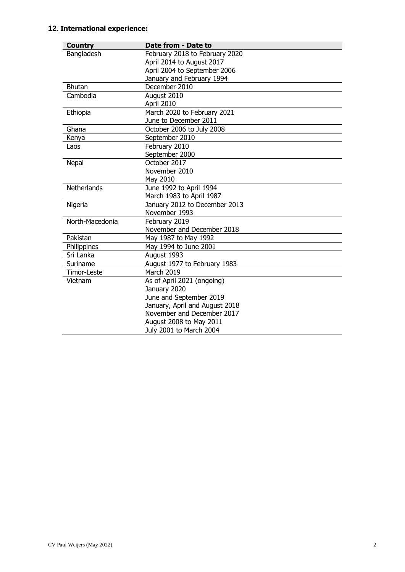# **12. International experience:**

| <b>Country</b>     | Date from - Date to            |
|--------------------|--------------------------------|
| Bangladesh         | February 2018 to February 2020 |
|                    | April 2014 to August 2017      |
|                    | April 2004 to September 2006   |
|                    | January and February 1994      |
| <b>Bhutan</b>      | December 2010                  |
| Cambodia           | August 2010                    |
|                    | April 2010                     |
| Ethiopia           | March 2020 to February 2021    |
|                    | June to December 2011          |
| Ghana              | October 2006 to July 2008      |
| Kenya              | September 2010                 |
| Laos               | February 2010                  |
|                    | September 2000                 |
| Nepal              | October 2017                   |
|                    | November 2010                  |
|                    | May 2010                       |
| <b>Netherlands</b> | June 1992 to April 1994        |
|                    | March 1983 to April 1987       |
| Nigeria            | January 2012 to December 2013  |
|                    | November 1993                  |
| North-Macedonia    | February 2019                  |
|                    | November and December 2018     |
| Pakistan           | May 1987 to May 1992           |
| Philippines        | May 1994 to June 2001          |
| Sri Lanka          | August 1993                    |
| Suriname           | August 1977 to February 1983   |
| Timor-Leste        | March 2019                     |
| Vietnam            | As of April 2021 (ongoing)     |
|                    | January 2020                   |
|                    | June and September 2019        |
|                    | January, April and August 2018 |
|                    | November and December 2017     |
|                    | August 2008 to May 2011        |
|                    | July 2001 to March 2004        |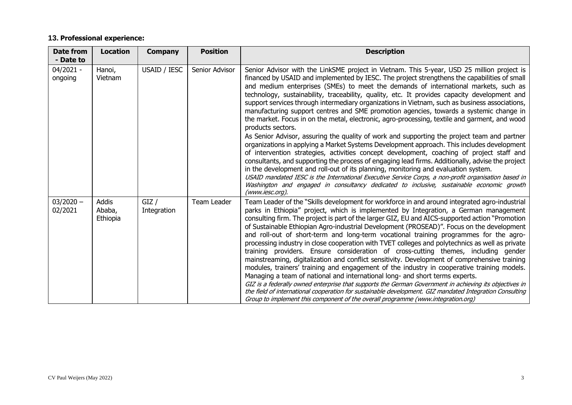# **13. Professional experience:**

| <b>Date from</b><br>- Date to | <b>Location</b>                    | <b>Company</b>      | <b>Position</b> | <b>Description</b>                                                                                                                                                                                                                                                                                                                                                                                                                                                                                                                                                                                                                                                                                                                                                                                                                                                                                                                                                                                                                                                                                                                                                                                                                                                                                                                                                                                              |
|-------------------------------|------------------------------------|---------------------|-----------------|-----------------------------------------------------------------------------------------------------------------------------------------------------------------------------------------------------------------------------------------------------------------------------------------------------------------------------------------------------------------------------------------------------------------------------------------------------------------------------------------------------------------------------------------------------------------------------------------------------------------------------------------------------------------------------------------------------------------------------------------------------------------------------------------------------------------------------------------------------------------------------------------------------------------------------------------------------------------------------------------------------------------------------------------------------------------------------------------------------------------------------------------------------------------------------------------------------------------------------------------------------------------------------------------------------------------------------------------------------------------------------------------------------------------|
| $04/2021 -$<br>ongoing        | Hanoi,<br>Vietnam                  | USAID / IESC        | Senior Advisor  | Senior Advisor with the LinkSME project in Vietnam. This 5-year, USD 25 million project is<br>financed by USAID and implemented by IESC. The project strengthens the capabilities of small<br>and medium enterprises (SMEs) to meet the demands of international markets, such as<br>technology, sustainability, traceability, quality, etc. It provides capacity development and<br>support services through intermediary organizations in Vietnam, such as business associations,<br>manufacturing support centres and SME promotion agencies, towards a systemic change in<br>the market. Focus in on the metal, electronic, agro-processing, textile and garment, and wood<br>products sectors.<br>As Senior Advisor, assuring the quality of work and supporting the project team and partner<br>organizations in applying a Market Systems Development approach. This includes development<br>of intervention strategies, activities concept development, coaching of project staff and<br>consultants, and supporting the process of engaging lead firms. Additionally, advise the project<br>in the development and roll-out of its planning, monitoring and evaluation system.<br>USAID mandated IESC is the International Executive Service Corps, a non-profit organisation based in<br>Washington and engaged in consultancy dedicated to inclusive, sustainable economic growth<br>(www.iesc.org). |
| $03/2020 -$<br>02/2021        | <b>Addis</b><br>Ababa,<br>Ethiopia | GIZ/<br>Integration | Team Leader     | Team Leader of the "Skills development for workforce in and around integrated agro-industrial<br>parks in Ethiopia" project, which is implemented by Integration, a German management<br>consulting firm. The project is part of the larger GIZ, EU and AICS-supported action "Promotion"<br>of Sustainable Ethiopian Agro-industrial Development (PROSEAD)". Focus on the development<br>and roll-out of short-term and long-term vocational training programmes for the agro-<br>processing industry in close cooperation with TVET colleges and polytechnics as well as private<br>training providers. Ensure consideration of cross-cutting themes, including gender<br>mainstreaming, digitalization and conflict sensitivity. Development of comprehensive training<br>modules, trainers' training and engagement of the industry in cooperative training models.<br>Managing a team of national and international long- and short terms experts.<br>GIZ is a federally owned enterprise that supports the German Government in achieving its objectives in<br>the field of international cooperation for sustainable development. GIZ mandated Integration Consulting<br>Group to implement this component of the overall programme (www.integration.org)                                                                                                                                                |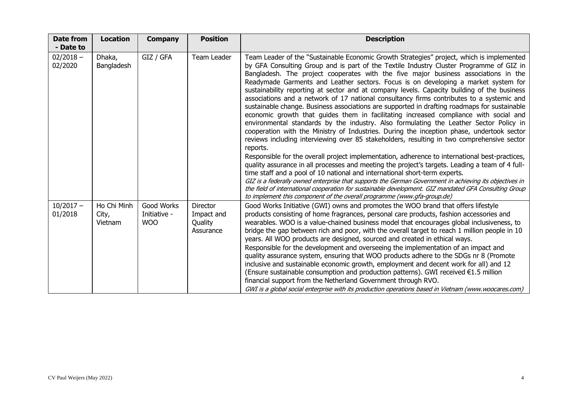| <b>Date from</b><br>- Date to | <b>Location</b>                 | <b>Company</b>                    | <b>Position</b>                                       | <b>Description</b>                                                                                                                                                                                                                                                                                                                                                                                                                                                                                                                                                                                                                                                                                                                                                                                                                                                                                                                                                                                                                                                                                                                                                                                                                                                                                                                                                                                                                                                                                                                                                                                                                       |
|-------------------------------|---------------------------------|-----------------------------------|-------------------------------------------------------|------------------------------------------------------------------------------------------------------------------------------------------------------------------------------------------------------------------------------------------------------------------------------------------------------------------------------------------------------------------------------------------------------------------------------------------------------------------------------------------------------------------------------------------------------------------------------------------------------------------------------------------------------------------------------------------------------------------------------------------------------------------------------------------------------------------------------------------------------------------------------------------------------------------------------------------------------------------------------------------------------------------------------------------------------------------------------------------------------------------------------------------------------------------------------------------------------------------------------------------------------------------------------------------------------------------------------------------------------------------------------------------------------------------------------------------------------------------------------------------------------------------------------------------------------------------------------------------------------------------------------------------|
| $02/2018 -$<br>02/2020        | Dhaka,<br>Bangladesh            | GIZ / GFA                         | Team Leader                                           | Team Leader of the "Sustainable Economic Growth Strategies" project, which is implemented<br>by GFA Consulting Group and is part of the Textile Industry Cluster Programme of GIZ in<br>Bangladesh. The project cooperates with the five major business associations in the<br>Readymade Garments and Leather sectors. Focus is on developing a market system for<br>sustainability reporting at sector and at company levels. Capacity building of the business<br>associations and a network of 17 national consultancy firms contributes to a systemic and<br>sustainable change. Business associations are supported in drafting roadmaps for sustainable<br>economic growth that guides them in facilitating increased compliance with social and<br>environmental standards by the industry. Also formulating the Leather Sector Policy in<br>cooperation with the Ministry of Industries. During the inception phase, undertook sector<br>reviews including interviewing over 85 stakeholders, resulting in two comprehensive sector<br>reports.<br>Responsible for the overall project implementation, adherence to international best-practices,<br>quality assurance in all processes and meeting the project's targets. Leading a team of 4 full-<br>time staff and a pool of 10 national and international short-term experts.<br>GIZ is a federally owned enterprise that supports the German Government in achieving its objectives in<br>the field of international cooperation for sustainable development. GIZ mandated GFA Consulting Group<br>to implement this component of the overall programme (www.gfa-group.de) |
| $10/2017 -$<br>01/2018        | Ho Chi Minh<br>City,<br>Vietnam | Good Works<br>Initiative -<br>WOO | <b>Director</b><br>Impact and<br>Quality<br>Assurance | Good Works Initiative (GWI) owns and promotes the WOO brand that offers lifestyle<br>products consisting of home fragrances, personal care products, fashion accessories and<br>wearables. WOO is a value-chained business model that encourages global inclusiveness, to<br>bridge the gap between rich and poor, with the overall target to reach 1 million people in 10<br>years. All WOO products are designed, sourced and created in ethical ways.<br>Responsible for the development and overseeing the implementation of an impact and<br>quality assurance system, ensuring that WOO products adhere to the SDGs nr 8 (Promote<br>inclusive and sustainable economic growth, employment and decent work for all) and 12<br>(Ensure sustainable consumption and production patterns). GWI received $\epsilon$ 1.5 million<br>financial support from the Netherland Government through RVO.<br>GWI is a global social enterprise with its production operations based in Vietnam (www.woocares.com)                                                                                                                                                                                                                                                                                                                                                                                                                                                                                                                                                                                                                               |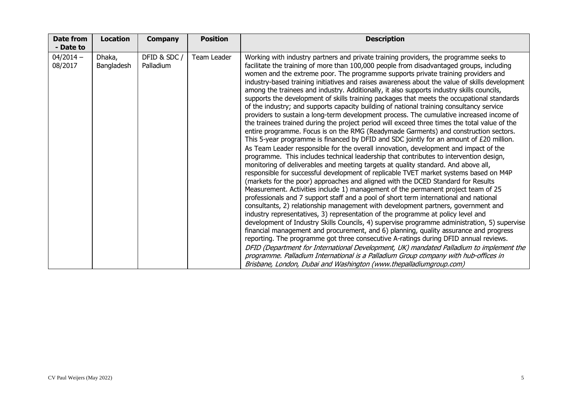| <b>Date from</b><br>- Date to | <b>Location</b>      | <b>Company</b>            | <b>Position</b> | <b>Description</b>                                                                                                                                                                                                                                                                                                                                                                                                                                                                                                                                                                                                                                                                                                                                                                                                                                                                                                                                                                                                                                                                                                                                                                                                                                                                                                                                                                                                                                                                                                                                                                                                                                                                                                                                                                                                                                                                                                                                                                                                                                                                                                                                                                                                                                                                                                                                                                                     |
|-------------------------------|----------------------|---------------------------|-----------------|--------------------------------------------------------------------------------------------------------------------------------------------------------------------------------------------------------------------------------------------------------------------------------------------------------------------------------------------------------------------------------------------------------------------------------------------------------------------------------------------------------------------------------------------------------------------------------------------------------------------------------------------------------------------------------------------------------------------------------------------------------------------------------------------------------------------------------------------------------------------------------------------------------------------------------------------------------------------------------------------------------------------------------------------------------------------------------------------------------------------------------------------------------------------------------------------------------------------------------------------------------------------------------------------------------------------------------------------------------------------------------------------------------------------------------------------------------------------------------------------------------------------------------------------------------------------------------------------------------------------------------------------------------------------------------------------------------------------------------------------------------------------------------------------------------------------------------------------------------------------------------------------------------------------------------------------------------------------------------------------------------------------------------------------------------------------------------------------------------------------------------------------------------------------------------------------------------------------------------------------------------------------------------------------------------------------------------------------------------------------------------------------------------|
| $04/2014 -$<br>08/2017        | Dhaka,<br>Bangladesh | DFID & SDC /<br>Palladium | Team Leader     | Working with industry partners and private training providers, the programme seeks to<br>facilitate the training of more than 100,000 people from disadvantaged groups, including<br>women and the extreme poor. The programme supports private training providers and<br>industry-based training initiatives and raises awareness about the value of skills development<br>among the trainees and industry. Additionally, it also supports industry skills councils,<br>supports the development of skills training packages that meets the occupational standards<br>of the industry; and supports capacity building of national training consultancy service<br>providers to sustain a long-term development process. The cumulative increased income of<br>the trainees trained during the project period will exceed three times the total value of the<br>entire programme. Focus is on the RMG (Readymade Garments) and construction sectors.<br>This 5-year programme is financed by DFID and SDC jointly for an amount of $E20$ million.<br>As Team Leader responsible for the overall innovation, development and impact of the<br>programme. This includes technical leadership that contributes to intervention design,<br>monitoring of deliverables and meeting targets at quality standard. And above all,<br>responsible for successful development of replicable TVET market systems based on M4P<br>(markets for the poor) approaches and aligned with the DCED Standard for Results<br>Measurement. Activities include 1) management of the permanent project team of 25<br>professionals and 7 support staff and a pool of short term international and national<br>consultants, 2) relationship management with development partners, government and<br>industry representatives, 3) representation of the programme at policy level and<br>development of Industry Skills Councils, 4) supervise programme administration, 5) supervise<br>financial management and procurement, and 6) planning, quality assurance and progress<br>reporting. The programme got three consecutive A-ratings during DFID annual reviews.<br>DFID (Department for International Development, UK) mandated Palladium to implement the<br>programme. Palladium International is a Palladium Group company with hub-offices in<br>Brisbane, London, Dubai and Washington (www.thepalladiumgroup.com) |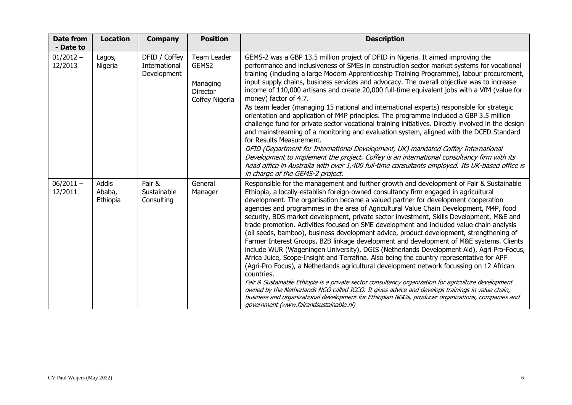| <b>Date from</b><br>- Date to | <b>Location</b>             | <b>Company</b>                                | <b>Position</b>                                                       | <b>Description</b>                                                                                                                                                                                                                                                                                                                                                                                                                                                                                                                                                                                                                                                                                                                                                                                                                                                                                                                                                                                                                                                                                                                                                                                                                                                                                                                                                                                        |
|-------------------------------|-----------------------------|-----------------------------------------------|-----------------------------------------------------------------------|-----------------------------------------------------------------------------------------------------------------------------------------------------------------------------------------------------------------------------------------------------------------------------------------------------------------------------------------------------------------------------------------------------------------------------------------------------------------------------------------------------------------------------------------------------------------------------------------------------------------------------------------------------------------------------------------------------------------------------------------------------------------------------------------------------------------------------------------------------------------------------------------------------------------------------------------------------------------------------------------------------------------------------------------------------------------------------------------------------------------------------------------------------------------------------------------------------------------------------------------------------------------------------------------------------------------------------------------------------------------------------------------------------------|
| $01/2012 -$<br>12/2013        | Lagos,<br>Nigeria           | DFID / Coffey<br>International<br>Development | Team Leader<br>GEMS2<br>Managing<br><b>Director</b><br>Coffey Nigeria | GEMS-2 was a GBP 13.5 million project of DFID in Nigeria. It aimed improving the<br>performance and inclusiveness of SMEs in construction sector market systems for vocational<br>training (including a large Modern Apprenticeship Training Programme), labour procurement,<br>input supply chains, business services and advocacy. The overall objective was to increase<br>income of 110,000 artisans and create 20,000 full-time equivalent jobs with a VfM (value for<br>money) factor of 4.7.<br>As team leader (managing 15 national and international experts) responsible for strategic<br>orientation and application of M4P principles. The programme included a GBP 3.5 million<br>challenge fund for private sector vocational training initiatives. Directly involved in the design<br>and mainstreaming of a monitoring and evaluation system, aligned with the DCED Standard<br>for Results Measurement.<br>DFID (Department for International Development, UK) mandated Coffey International                                                                                                                                                                                                                                                                                                                                                                                             |
|                               |                             |                                               |                                                                       | Development to implement the project. Coffey is an international consultancy firm with its<br>head office in Australia with over 1,400 full-time consultants employed. Its UK-based office is<br>in charge of the GEMS-2 project.                                                                                                                                                                                                                                                                                                                                                                                                                                                                                                                                                                                                                                                                                                                                                                                                                                                                                                                                                                                                                                                                                                                                                                         |
| $06/2011 -$<br>12/2011        | Addis<br>Ababa,<br>Ethiopia | Fair &<br>Sustainable<br>Consulting           | General<br>Manager                                                    | Responsible for the management and further growth and development of Fair & Sustainable<br>Ethiopia, a locally-establish foreign-owned consultancy firm engaged in agricultural<br>development. The organisation became a valued partner for development cooperation<br>agencies and programmes in the area of Agricultural Value Chain Development, M4P, food<br>security, BDS market development, private sector investment, Skills Development, M&E and<br>trade promotion. Activities focused on SME development and included value chain analysis<br>(oil seeds, bamboo), business development advice, product development, strengthening of<br>Farmer Interest Groups, B2B linkage development and development of M&E systems. Clients<br>include WUR (Wageningen University), DGIS (Netherlands Development Aid), Agri Pro-Focus,<br>Africa Juice, Scope-Insight and Terrafina. Also being the country representative for APF<br>(Agri-Pro Focus), a Netherlands agricultural development network focussing on 12 African<br>countries.<br>Fair & Sustainable Ethiopia is a private sector consultancy organization for agriculture development<br>owned by the Netherlands NGO called ICCO. It gives advice and develops trainings in value chain,<br>business and organizational development for Ethiopian NGOs, producer organizations, companies and<br>government (www.fairandsustainable.nl) |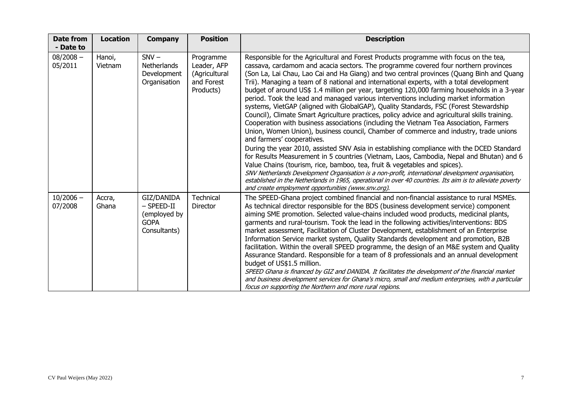| <b>Date from</b><br>- Date to | <b>Location</b>   | <b>Company</b>                                                            | <b>Position</b>                                                      | <b>Description</b>                                                                                                                                                                                                                                                                                                                                                                                                                                                                                                                                                                                                                                                                                                                                                                                                                                                                                                                                                                                                                                                                                                                                                                                                                                                                                                                                                                                                                                                                                                     |
|-------------------------------|-------------------|---------------------------------------------------------------------------|----------------------------------------------------------------------|------------------------------------------------------------------------------------------------------------------------------------------------------------------------------------------------------------------------------------------------------------------------------------------------------------------------------------------------------------------------------------------------------------------------------------------------------------------------------------------------------------------------------------------------------------------------------------------------------------------------------------------------------------------------------------------------------------------------------------------------------------------------------------------------------------------------------------------------------------------------------------------------------------------------------------------------------------------------------------------------------------------------------------------------------------------------------------------------------------------------------------------------------------------------------------------------------------------------------------------------------------------------------------------------------------------------------------------------------------------------------------------------------------------------------------------------------------------------------------------------------------------------|
| $08/2008 -$<br>05/2011        | Hanoi,<br>Vietnam | $SNV -$<br><b>Netherlands</b><br>Development<br>Organisation              | Programme<br>Leader, AFP<br>(Agricultural<br>and Forest<br>Products) | Responsible for the Agricultural and Forest Products programme with focus on the tea,<br>cassava, cardamom and acacia sectors. The programme covered four northern provinces<br>(Son La, Lai Chau, Lao Cai and Ha Giang) and two central provinces (Quang Binh and Quang<br>Trii). Managing a team of 8 national and international experts, with a total development<br>budget of around US\$ 1.4 million per year, targeting 120,000 farming households in a 3-year<br>period. Took the lead and managed various interventions including market information<br>systems, VietGAP (aligned with GlobalGAP), Quality Standards, FSC (Forest Stewardship<br>Council), Climate Smart Agriculture practices, policy advice and agricultural skills training.<br>Cooperation with business associations (including the Vietnam Tea Association, Farmers<br>Union, Women Union), business council, Chamber of commerce and industry, trade unions<br>and farmers' cooperatives.<br>During the year 2010, assisted SNV Asia in establishing compliance with the DCED Standard<br>for Results Measurement in 5 countries (Vietnam, Laos, Cambodia, Nepal and Bhutan) and 6<br>Value Chains (tourism, rice, bamboo, tea, fruit & vegetables and spices).<br>SNV Netherlands Development Organisation is a non-profit, international development organisation,<br>established in the Netherlands in 1965, operational in over 40 countries. Its aim is to alleviate poverty<br>and create employment opportunities (www.snv.org). |
| $10/2006 -$<br>07/2008        | Accra,<br>Ghana   | GIZ/DANIDA<br>$-$ SPEED-II<br>(employed by<br><b>GOPA</b><br>Consultants) | Technical<br>Director                                                | The SPEED-Ghana project combined financial and non-financial assistance to rural MSMEs.<br>As technical director responsible for the BDS (business development service) component<br>aiming SME promotion. Selected value-chains included wood products, medicinal plants,<br>garments and rural-tourism. Took the lead in the following activities/interventions: BDS<br>market assessment, Facilitation of Cluster Development, establishment of an Enterprise<br>Information Service market system, Quality Standards development and promotion, B2B<br>facilitation. Within the overall SPEED programme, the design of an M&E system and Quality<br>Assurance Standard. Responsible for a team of 8 professionals and an annual development<br>budget of US\$1.5 million.<br>SPEED Ghana is financed by GIZ and DANIDA. It facilitates the development of the financial market<br>and business development services for Ghana's micro, small and medium enterprises, with a particular<br>focus on supporting the Northern and more rural regions.                                                                                                                                                                                                                                                                                                                                                                                                                                                                 |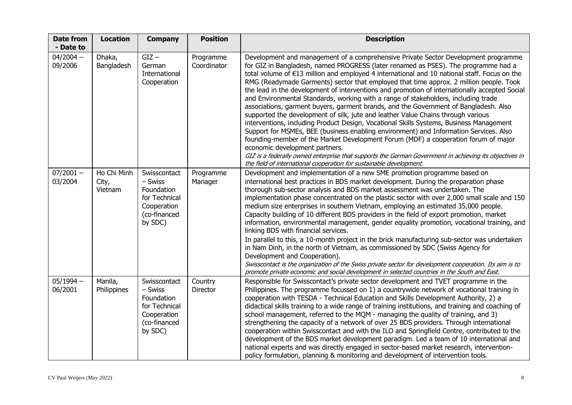| <b>Date from</b><br>- Date to | <b>Location</b>                 | <b>Company</b>                                                                                   | <b>Position</b>          | <b>Description</b>                                                                                                                                                                                                                                                                                                                                                                                                                                                                                                                                                                                                                                                                                                                                                                                                                                                                                                                                                                                                                                                                                                                                                                                                                   |
|-------------------------------|---------------------------------|--------------------------------------------------------------------------------------------------|--------------------------|--------------------------------------------------------------------------------------------------------------------------------------------------------------------------------------------------------------------------------------------------------------------------------------------------------------------------------------------------------------------------------------------------------------------------------------------------------------------------------------------------------------------------------------------------------------------------------------------------------------------------------------------------------------------------------------------------------------------------------------------------------------------------------------------------------------------------------------------------------------------------------------------------------------------------------------------------------------------------------------------------------------------------------------------------------------------------------------------------------------------------------------------------------------------------------------------------------------------------------------|
| $04/2004 -$<br>09/2006        | Dhaka,<br>Bangladesh            | $GIZ -$<br>German<br>International<br>Cooperation                                                | Programme<br>Coordinator | Development and management of a comprehensive Private Sector Development programme<br>for GIZ in Bangladesh, named PROGRESS (later renamed as PSES). The programme had a<br>total volume of $E13$ million and employed 4 international and 10 national staff. Focus on the<br>RMG (Readymade Garments) sector that employed that time approx. 2 million people. Took<br>the lead in the development of interventions and promotion of internationally accepted Social<br>and Environmental Standards, working with a range of stakeholders, including trade<br>associations, garment buyers, garment brands, and the Government of Bangladesh. Also<br>supported the development of silk, jute and leather Value Chains through various<br>interventions, including Product Design, Vocational Skills Systems, Business Management<br>Support for MSMEs, BEE (business enabling environment) and Information Services. Also<br>founding-member of the Market Development Forum (MDF) a cooperation forum of major<br>economic development partners.<br>GIZ is a federally owned enterprise that supports the German Government in achieving its objectives in<br>the field of international cooperation for sustainable development. |
| $07/2001 -$<br>03/2004        | Ho Chi Minh<br>City,<br>Vietnam | Swisscontact<br>- Swiss<br>Foundation<br>for Technical<br>Cooperation<br>(co-financed<br>by SDC) | Programme<br>Manager     | Development and implementation of a new SME promotion programme based on<br>international best practices in BDS market development. During the preparation phase<br>thorough sub-sector analysis and BDS market assessment was undertaken. The<br>implementation phase concentrated on the plastic sector with over 2,000 small scale and 150<br>medium size enterprises in southern Vietnam, employing an estimated 35,000 people.<br>Capacity building of 10 different BDS providers in the field of export promotion, market<br>information, environmental management, gender equality promotion, vocational training, and<br>linking BDS with financial services.<br>In parallel to this, a 10-month project in the brick manufacturing sub-sector was undertaken<br>in Nam Dinh, in the north of Vietnam, as commissioned by SDC (Swiss Agency for<br>Development and Cooperation).<br>Swisscontact is the organization of the Swiss private sector for development cooperation. Its aim is to<br>promote private economic and social development in selected countries in the South and East.                                                                                                                                  |
| $05/1994 -$<br>06/2001        | Manila,<br>Philippines          | Swisscontact<br>- Swiss<br>Foundation<br>for Technical<br>Cooperation<br>(co-financed<br>by SDC) | Country<br>Director      | Responsible for Swisscontact's private sector development and TVET programme in the<br>Philippines. The programme focussed on 1) a countrywide network of vocational training in<br>cooperation with TESDA - Technical Education and Skills Development Authority, 2) a<br>didactical skills training to a wide range of training institutions, and training and coaching of<br>school management, referred to the MQM - managing the quality of training, and 3)<br>strengthening the capacity of a network of over 25 BDS providers. Through international<br>cooperation within Swisscontact and with the ILO and Springfield Centre, contributed to the<br>development of the BDS market development paradigm. Led a team of 10 international and<br>national experts and was directly engaged in sector-based market research, intervention-<br>policy formulation, planning & monitoring and development of intervention tools.                                                                                                                                                                                                                                                                                                |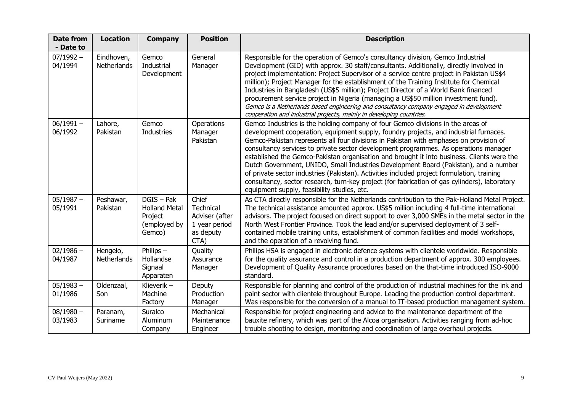| <b>Date from</b><br>- Date to | <b>Location</b>           | <b>Company</b>                                                          | <b>Position</b>                                                                   | <b>Description</b>                                                                                                                                                                                                                                                                                                                                                                                                                                                                                                                                                                                                                                                                                                                                                                             |
|-------------------------------|---------------------------|-------------------------------------------------------------------------|-----------------------------------------------------------------------------------|------------------------------------------------------------------------------------------------------------------------------------------------------------------------------------------------------------------------------------------------------------------------------------------------------------------------------------------------------------------------------------------------------------------------------------------------------------------------------------------------------------------------------------------------------------------------------------------------------------------------------------------------------------------------------------------------------------------------------------------------------------------------------------------------|
| $07/1992 -$<br>04/1994        | Eindhoven,<br>Netherlands | Gemco<br>Industrial<br>Development                                      | General<br>Manager                                                                | Responsible for the operation of Gemco's consultancy division, Gemco Industrial<br>Development (GID) with approx. 30 staff/consultants. Additionally, directly involved in<br>project implementation: Project Supervisor of a service centre project in Pakistan US\$4<br>million); Project Manager for the establishment of the Training Institute for Chemical<br>Industries in Bangladesh (US\$5 million); Project Director of a World Bank financed<br>procurement service project in Nigeria (managing a US\$50 million investment fund).<br>Gemco is a Netherlands based engineering and consultancy company engaged in development<br>cooperation and industrial projects, mainly in developing countries.                                                                              |
| $06/1991 -$<br>06/1992        | Lahore,<br>Pakistan       | Gemco<br><b>Industries</b>                                              | Operations<br>Manager<br>Pakistan                                                 | Gemco Industries is the holding company of four Gemco divisions in the areas of<br>development cooperation, equipment supply, foundry projects, and industrial furnaces.<br>Gemco-Pakistan represents all four divisions in Pakistan with emphases on provision of<br>consultancy services to private sector development programmes. As operations manager<br>established the Gemco-Pakistan organisation and brought it into business. Clients were the<br>Dutch Government, UNIDO, Small Industries Development Board (Pakistan), and a number<br>of private sector industries (Pakistan). Activities included project formulation, training<br>consultancy, sector research, turn-key project (for fabrication of gas cylinders), laboratory<br>equipment supply, feasibility studies, etc. |
| $05/1987 -$<br>05/1991        | Peshawar,<br>Pakistan     | DGIS - Pak<br><b>Holland Metal</b><br>Project<br>(employed by<br>Gemco) | Chief<br><b>Technical</b><br>Adviser (after<br>1 year period<br>as deputy<br>CTA) | As CTA directly responsible for the Netherlands contribution to the Pak-Holland Metal Project.<br>The technical assistance amounted approx. US\$5 million including 4 full-time international<br>advisors. The project focused on direct support to over 3,000 SMEs in the metal sector in the<br>North West Frontier Province. Took the lead and/or supervised deployment of 3 self-<br>contained mobile training units, establishment of common facilities and model workshops,<br>and the operation of a revolving fund.                                                                                                                                                                                                                                                                    |
| $02/1986 -$<br>04/1987        | Hengelo,<br>Netherlands   | Philips $-$<br>Hollandse<br>Signaal<br>Apparaten                        | Quality<br>Assurance<br>Manager                                                   | Philips HSA is engaged in electronic defence systems with clientele worldwide. Responsible<br>for the quality assurance and control in a production department of approx. 300 employees.<br>Development of Quality Assurance procedures based on the that-time introduced ISO-9000<br>standard.                                                                                                                                                                                                                                                                                                                                                                                                                                                                                                |
| $05/1983 -$<br>01/1986        | Oldenzaal,<br>Son         | Klieverik $-$<br>Machine<br>Factory                                     | Deputy<br>Production<br>Manager                                                   | Responsible for planning and control of the production of industrial machines for the ink and<br>paint sector with clientele throughout Europe. Leading the production control department.<br>Was responsible for the conversion of a manual to IT-based production management system.                                                                                                                                                                                                                                                                                                                                                                                                                                                                                                         |
| $08/1980 -$<br>03/1983        | Paranam,<br>Suriname      | Suralco<br>Aluminum<br>Company                                          | Mechanical<br>Maintenance<br>Engineer                                             | Responsible for project engineering and advice to the maintenance department of the<br>bauxite refinery, which was part of the Alcoa organisation. Activities ranging from ad-hoc<br>trouble shooting to design, monitoring and coordination of large overhaul projects.                                                                                                                                                                                                                                                                                                                                                                                                                                                                                                                       |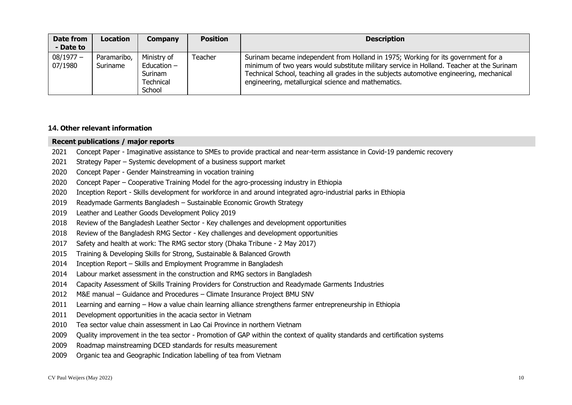| Date from<br>- Date to | <b>Location</b>         | <b>Company</b>                                                 | <b>Position</b> | <b>Description</b>                                                                                                                                                                                                                                                                                                                |
|------------------------|-------------------------|----------------------------------------------------------------|-----------------|-----------------------------------------------------------------------------------------------------------------------------------------------------------------------------------------------------------------------------------------------------------------------------------------------------------------------------------|
| $08/1977 -$<br>07/1980 | Paramaribo,<br>Suriname | Ministry of<br>Education $-$<br>Surinam<br>Technical<br>School | Teacher         | Surinam became independent from Holland in 1975; Working for its government for a<br>minimum of two years would substitute military service in Holland. Teacher at the Surinam<br>Technical School, teaching all grades in the subjects automotive engineering, mechanical<br>engineering, metallurgical science and mathematics. |

### **14. Other relevant information**

### **Recent publications / major reports**

- 2021 Concept Paper Imaginative assistance to SMEs to provide practical and near-term assistance in Covid-19 pandemic recovery
- 2021 Strategy Paper Systemic development of a business support market
- 2020 Concept Paper Gender Mainstreaming in vocation training
- 2020 Concept Paper Cooperative Training Model for the agro-processing industry in Ethiopia
- 2020 Inception Report Skills development for workforce in and around integrated agro-industrial parks in Ethiopia
- 2019 Readymade Garments Bangladesh Sustainable Economic Growth Strategy
- 2019 Leather and Leather Goods Development Policy 2019
- 2018 Review of the Bangladesh Leather Sector Key challenges and development opportunities
- 2018 Review of the Bangladesh RMG Sector Key challenges and development opportunities
- 2017 Safety and health at work: The RMG sector story (Dhaka Tribune 2 May 2017)
- 2015 Training & Developing Skills for Strong, Sustainable & Balanced Growth
- 2014 Inception Report Skills and Employment Programme in Bangladesh
- 2014 Labour market assessment in the construction and RMG sectors in Bangladesh
- 2014 Capacity Assessment of Skills Training Providers for Construction and Readymade Garments Industries
- 2012 M&E manual Guidance and Procedures Climate Insurance Project BMU SNV
- 2011 Learning and earning How a value chain learning alliance strengthens farmer entrepreneurship in Ethiopia
- 2011 Development opportunities in the acacia sector in Vietnam
- 2010 Tea sector value chain assessment in Lao Cai Province in northern Vietnam
- 2009 Quality improvement in the tea sector Promotion of GAP within the context of quality standards and certification systems
- 2009 Roadmap mainstreaming DCED standards for results measurement
- 2009 Organic tea and Geographic Indication labelling of tea from Vietnam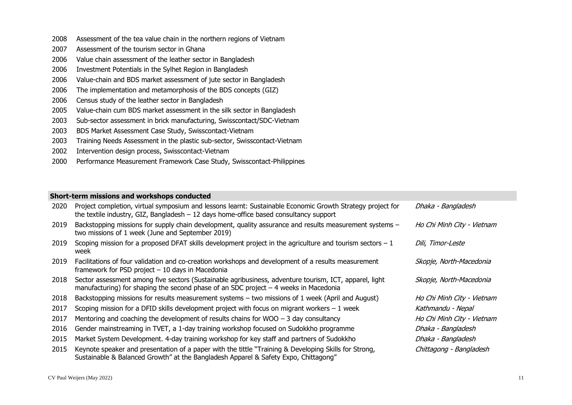- Assessment of the tea value chain in the northern regions of Vietnam
- Assessment of the tourism sector in Ghana
- Value chain assessment of the leather sector in Bangladesh
- Investment Potentials in the Sylhet Region in Bangladesh
- Value-chain and BDS market assessment of jute sector in Bangladesh
- The implementation and metamorphosis of the BDS concepts (GIZ)
- Census study of the leather sector in Bangladesh
- Value-chain cum BDS market assessment in the silk sector in Bangladesh
- Sub-sector assessment in brick manufacturing, Swisscontact/SDC-Vietnam
- BDS Market Assessment Case Study, Swisscontact-Vietnam
- Training Needs Assessment in the plastic sub-sector, Swisscontact-Vietnam
- Intervention design process, Swisscontact-Vietnam
- Performance Measurement Framework Case Study, Swisscontact-Philippines

## **Short-term missions and workshops conducted**

| 2020 | Project completion, virtual symposium and lessons learnt: Sustainable Economic Growth Strategy project for<br>the textile industry, GIZ, Bangladesh $-12$ days home-office based consultancy support | Dhaka - Bangladesh         |
|------|------------------------------------------------------------------------------------------------------------------------------------------------------------------------------------------------------|----------------------------|
| 2019 | Backstopping missions for supply chain development, quality assurance and results measurement systems -<br>two missions of 1 week (June and September 2019)                                          | Ho Chi Minh City - Vietnam |
| 2019 | Scoping mission for a proposed DFAT skills development project in the agriculture and tourism sectors $-1$<br>week                                                                                   | Dili, Timor-Leste          |
| 2019 | Facilitations of four validation and co-creation workshops and development of a results measurement<br>framework for PSD project $-10$ days in Macedonia                                             | Skopje, North-Macedonia    |
| 2018 | Sector assessment among five sectors (Sustainable agribusiness, adventure tourism, ICT, apparel, light<br>manufacturing) for shaping the second phase of an SDC project $-4$ weeks in Macedonia      | Skopje, North-Macedonia    |
| 2018 | Backstopping missions for results measurement systems - two missions of 1 week (April and August)                                                                                                    | Ho Chi Minh City - Vietnam |
| 2017 | Scoping mission for a DFID skills development project with focus on migrant workers $-1$ week                                                                                                        | Kathmandu - Nepal          |
| 2017 | Mentoring and coaching the development of results chains for WOO $-$ 3 day consultancy                                                                                                               | Ho Chi Minh City - Vietnam |
| 2016 | Gender mainstreaming in TVET, a 1-day training workshop focused on Sudokkho programme                                                                                                                | Dhaka - Bangladesh         |
| 2015 | Market System Development. 4-day training workshop for key staff and partners of Sudokkho                                                                                                            | Dhaka - Bangladesh         |
| 2015 | Keynote speaker and presentation of a paper with the tittle "Training & Developing Skills for Strong,<br>Sustainable & Balanced Growth" at the Bangladesh Apparel & Safety Expo, Chittagong"         | Chittagong - Bangladesh    |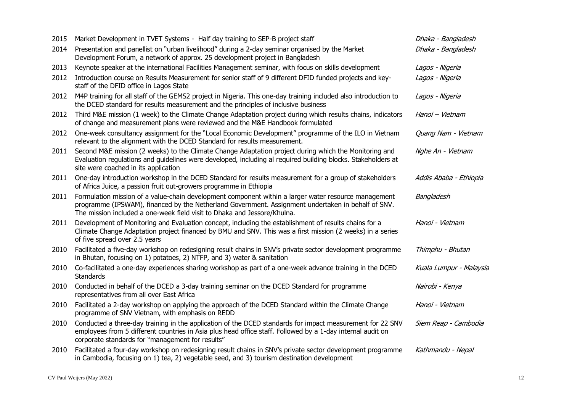| 2015 | Market Development in TVET Systems - Half day training to SEP-B project staff                                                                                                                                                                                                          | Dhaka - Bangladesh      |
|------|----------------------------------------------------------------------------------------------------------------------------------------------------------------------------------------------------------------------------------------------------------------------------------------|-------------------------|
| 2014 | Presentation and panellist on "urban livelihood" during a 2-day seminar organised by the Market<br>Development Forum, a network of approx. 25 development project in Bangladesh                                                                                                        | Dhaka - Bangladesh      |
| 2013 | Keynote speaker at the international Facilities Management seminar, with focus on skills development                                                                                                                                                                                   | Lagos - Nigeria         |
| 2012 | Introduction course on Results Measurement for senior staff of 9 different DFID funded projects and key-<br>staff of the DFID office in Lagos State                                                                                                                                    | Lagos - Nigeria         |
| 2012 | M4P training for all staff of the GEMS2 project in Nigeria. This one-day training included also introduction to<br>the DCED standard for results measurement and the principles of inclusive business                                                                                  | Lagos - Nigeria         |
| 2012 | Third M&E mission (1 week) to the Climate Change Adaptation project during which results chains, indicators<br>of change and measurement plans were reviewed and the M&E Handbook formulated                                                                                           | Hanoi - Vietnam         |
| 2012 | One-week consultancy assignment for the "Local Economic Development" programme of the ILO in Vietnam<br>relevant to the alignment with the DCED Standard for results measurement.                                                                                                      | Quang Nam - Vietnam     |
| 2011 | Second M&E mission (2 weeks) to the Climate Change Adaptation project during which the Monitoring and<br>Evaluation regulations and guidelines were developed, including al required building blocks. Stakeholders at<br>site were coached in its application                          | Nghe An - Vietnam       |
| 2011 | One-day introduction workshop in the DCED Standard for results measurement for a group of stakeholders<br>of Africa Juice, a passion fruit out-growers programme in Ethiopia                                                                                                           | Addis Ababa - Ethiopia  |
| 2011 | Formulation mission of a value-chain development component within a larger water resource management<br>programme (IPSWAM), financed by the Netherland Government. Assignment undertaken in behalf of SNV.<br>The mission included a one-week field visit to Dhaka and Jessore/Khulna. | Bangladesh              |
| 2011 | Development of Monitoring and Evaluation concept, including the establishment of results chains for a<br>Climate Change Adaptation project financed by BMU and SNV. This was a first mission (2 weeks) in a series<br>of five spread over 2.5 years                                    | Hanoi - Vietnam         |
| 2010 | Facilitated a five-day workshop on redesigning result chains in SNV's private sector development programme<br>in Bhutan, focusing on 1) potatoes, 2) NTFP, and 3) water & sanitation                                                                                                   | Thimphu - Bhutan        |
| 2010 | Co-facilitated a one-day experiences sharing workshop as part of a one-week advance training in the DCED<br><b>Standards</b>                                                                                                                                                           | Kuala Lumpur - Malaysia |
| 2010 | Conducted in behalf of the DCED a 3-day training seminar on the DCED Standard for programme<br>representatives from all over East Africa                                                                                                                                               | Nairobi - Kenya         |
| 2010 | Facilitated a 2-day workshop on applying the approach of the DCED Standard within the Climate Change<br>programme of SNV Vietnam, with emphasis on REDD                                                                                                                                | Hanoi - Vietnam         |
| 2010 | Conducted a three-day training in the application of the DCED standards for impact measurement for 22 SNV<br>employees from 5 different countries in Asia plus head office staff. Followed by a 1-day internal audit on<br>corporate standards for "management for results"            | Siem Reap - Cambodia    |
| 2010 | Facilitated a four-day workshop on redesigning result chains in SNV's private sector development programme<br>in Cambodia, focusing on 1) tea, 2) vegetable seed, and 3) tourism destination development                                                                               | Kathmandu - Nepal       |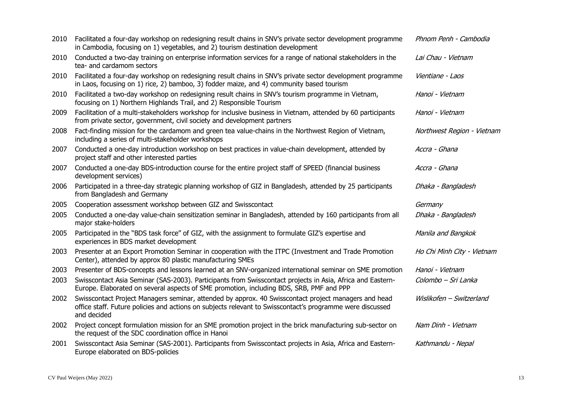| 2010 | Facilitated a four-day workshop on redesigning result chains in SNV's private sector development programme<br>in Cambodia, focusing on 1) vegetables, and 2) tourism destination development                                     | Phnom Penh - Cambodia      |
|------|----------------------------------------------------------------------------------------------------------------------------------------------------------------------------------------------------------------------------------|----------------------------|
| 2010 | Conducted a two-day training on enterprise information services for a range of national stakeholders in the<br>tea- and cardamom sectors                                                                                         | Lai Chau - Vietnam         |
| 2010 | Facilitated a four-day workshop on redesigning result chains in SNV's private sector development programme<br>in Laos, focusing on 1) rice, 2) bamboo, 3) fodder maize, and 4) community based tourism                           | Vientiane - Laos           |
| 2010 | Facilitated a two-day workshop on redesigning result chains in SNV's tourism programme in Vietnam,<br>focusing on 1) Northern Highlands Trail, and 2) Responsible Tourism                                                        | Hanoi - Vietnam            |
| 2009 | Facilitation of a multi-stakeholders workshop for inclusive business in Vietnam, attended by 60 participants<br>from private sector, government, civil society and development partners                                          | Hanoi - Vietnam            |
| 2008 | Fact-finding mission for the cardamom and green tea value-chains in the Northwest Region of Vietnam,<br>including a series of multi-stakeholder workshops                                                                        | Northwest Region - Vietnam |
| 2007 | Conducted a one-day introduction workshop on best practices in value-chain development, attended by<br>project staff and other interested parties                                                                                | Accra - Ghana              |
| 2007 | Conducted a one-day BDS-introduction course for the entire project staff of SPEED (financial business<br>development services)                                                                                                   | Accra - Ghana              |
| 2006 | Participated in a three-day strategic planning workshop of GIZ in Bangladesh, attended by 25 participants<br>from Bangladesh and Germany                                                                                         | Dhaka - Bangladesh         |
| 2005 | Cooperation assessment workshop between GIZ and Swisscontact                                                                                                                                                                     | Germany                    |
| 2005 | Conducted a one-day value-chain sensitization seminar in Bangladesh, attended by 160 participants from all<br>major stake-holders                                                                                                | Dhaka - Bangladesh         |
| 2005 | Participated in the "BDS task force" of GIZ, with the assignment to formulate GIZ's expertise and<br>experiences in BDS market development                                                                                       | Manila and Bangkok         |
| 2003 | Presenter at an Export Promotion Seminar in cooperation with the ITPC (Investment and Trade Promotion<br>Center), attended by approx 80 plastic manufacturing SMEs                                                               | Ho Chi Minh City - Vietnam |
| 2003 | Presenter of BDS-concepts and lessons learned at an SNV-organized international seminar on SME promotion                                                                                                                         | Hanoi - Vietnam            |
| 2003 | Swisscontact Asia Seminar (SAS-2003). Participants from Swisscontact projects in Asia, Africa and Eastern-<br>Europe. Elaborated on several aspects of SME promotion, including BDS, SRB, PMF and PPP                            | Colombo - Sri Lanka        |
| 2002 | Swisscontact Project Managers seminar, attended by approx. 40 Swisscontact project managers and head<br>office staff. Future policies and actions on subjects relevant to Swisscontact's programme were discussed<br>and decided | Wislikofen - Switzerland   |
| 2002 | Project concept formulation mission for an SME promotion project in the brick manufacturing sub-sector on<br>the request of the SDC coordination office in Hanoi                                                                 | Nam Dinh - Vietnam         |
| 2001 | Swisscontact Asia Seminar (SAS-2001). Participants from Swisscontact projects in Asia, Africa and Eastern-<br>Europe elaborated on BDS-policies                                                                                  | Kathmandu - Nepal          |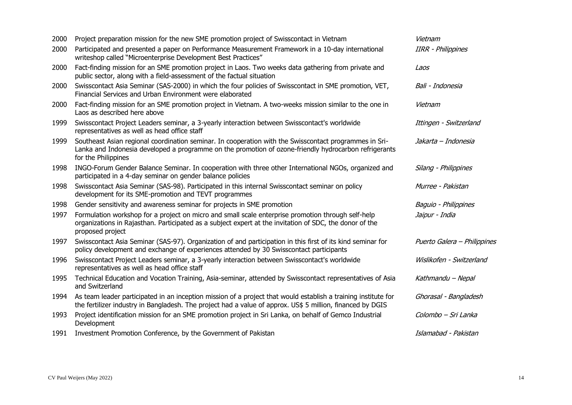| 2000 | Project preparation mission for the new SME promotion project of Swisscontact in Vietnam                                                                                                                                               | Vietnam                     |
|------|----------------------------------------------------------------------------------------------------------------------------------------------------------------------------------------------------------------------------------------|-----------------------------|
| 2000 | Participated and presented a paper on Performance Measurement Framework in a 10-day international<br>writeshop called "Microenterprise Development Best Practices"                                                                     | <b>IIRR - Philippines</b>   |
| 2000 | Fact-finding mission for an SME promotion project in Laos. Two weeks data gathering from private and<br>public sector, along with a field-assessment of the factual situation                                                          | Laos                        |
| 2000 | Swisscontact Asia Seminar (SAS-2000) in which the four policies of Swisscontact in SME promotion, VET,<br>Financial Services and Urban Environment were elaborated                                                                     | Bali - Indonesia            |
| 2000 | Fact-finding mission for an SME promotion project in Vietnam. A two-weeks mission similar to the one in<br>Laos as described here above                                                                                                | Vietnam                     |
| 1999 | Swisscontact Project Leaders seminar, a 3-yearly interaction between Swisscontact's worldwide<br>representatives as well as head office staff                                                                                          | Ittingen - Switzerland      |
| 1999 | Southeast Asian regional coordination seminar. In cooperation with the Swisscontact programmes in Sri-<br>Lanka and Indonesia developed a programme on the promotion of ozone-friendly hydrocarbon refrigerants<br>for the Philippines | Jakarta - Indonesia         |
| 1998 | INGO-Forum Gender Balance Seminar. In cooperation with three other International NGOs, organized and<br>participated in a 4-day seminar on gender balance policies                                                                     | Silang - Philippines        |
| 1998 | Swisscontact Asia Seminar (SAS-98). Participated in this internal Swisscontact seminar on policy<br>development for its SME-promotion and TEVT programmes                                                                              | Murree - Pakistan           |
| 1998 | Gender sensitivity and awareness seminar for projects in SME promotion                                                                                                                                                                 | Baguio - Philippines        |
| 1997 | Formulation workshop for a project on micro and small scale enterprise promotion through self-help<br>organizations in Rajasthan. Participated as a subject expert at the invitation of SDC, the donor of the<br>proposed project      | Jaipur - India              |
| 1997 | Swisscontact Asia Seminar (SAS-97). Organization of and participation in this first of its kind seminar for<br>policy development and exchange of experiences attended by 30 Swisscontact participants                                 | Puerto Galera - Philippines |
| 1996 | Swisscontact Project Leaders seminar, a 3-yearly interaction between Swisscontact's worldwide<br>representatives as well as head office staff                                                                                          | Wislikofen - Switzerland    |
| 1995 | Technical Education and Vocation Training, Asia-seminar, attended by Swisscontact representatives of Asia<br>and Switzerland                                                                                                           | Kathmandu - Nepal           |
| 1994 | As team leader participated in an inception mission of a project that would establish a training institute for<br>the fertilizer industry in Bangladesh. The project had a value of approx. US\$ 5 million, financed by DGIS           | Ghorasal - Bangladesh       |
| 1993 | Project identification mission for an SME promotion project in Sri Lanka, on behalf of Gemco Industrial<br>Development                                                                                                                 | Colombo - Sri Lanka         |
| 1991 | Investment Promotion Conference, by the Government of Pakistan                                                                                                                                                                         | Islamabad - Pakistan        |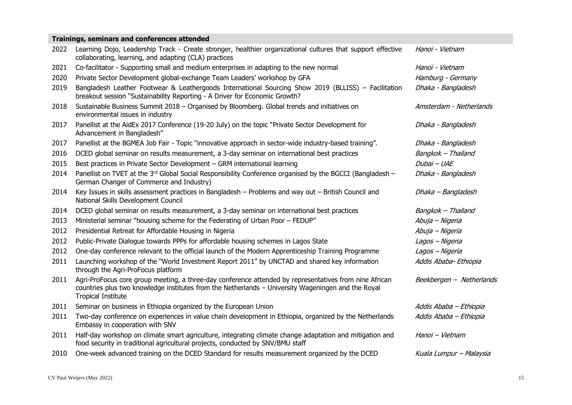| Trainings, seminars and conferences attended |                                                                                                                                                                                                                                           |                          |  |
|----------------------------------------------|-------------------------------------------------------------------------------------------------------------------------------------------------------------------------------------------------------------------------------------------|--------------------------|--|
| 2022                                         | Learning Dojo, Leadership Track - Create stronger, healthier organizational cultures that support effective<br>collaborating, learning, and adapting (CLA) practices                                                                      | Hanoi - Vietnam          |  |
| 2021                                         | Co-facilitator - Supporting small and medium enterprises in adapting to the new normal                                                                                                                                                    | Hanoi - Vietnam          |  |
| 2020                                         | Private Sector Development global-exchange Team Leaders' workshop by GFA                                                                                                                                                                  | Hamburg - Germany        |  |
| 2019                                         | Bangladesh Leather Footwear & Leathergoods International Sourcing Show 2019 (BLLISS) - Facilitation<br>breakout session "Sustainability Reporting - A Driver for Economic Growth?                                                         | Dhaka - Bangladesh       |  |
| 2018                                         | Sustainable Business Summit 2018 - Organised by Bloomberg. Global trends and initiatives on<br>environmental issues in industry                                                                                                           | Amsterdam - Netherlands  |  |
| 2017                                         | Panellist at the AidEx 2017 Conference (19-20 July) on the topic "Private Sector Development for<br>Advancement in Bangladesh"                                                                                                            | Dhaka - Bangladesh       |  |
| 2017                                         | Panellist at the BGMEA Job Fair - Topic "innovative approach in sector-wide industry-based training".                                                                                                                                     | Dhaka - Bangladesh       |  |
| 2016                                         | DCED global seminar on results measurement, a 3-day seminar on international best practices                                                                                                                                               | Bangkok - Thailand       |  |
| 2015                                         | Best practices in Private Sector Development - GRM international learning                                                                                                                                                                 | Dubai - UAE              |  |
| 2014                                         | Panellist on TVET at the 3rd Global Social Responsibility Conference organised by the BGCCI (Bangladesh –<br>German Changer of Commerce and Industry)                                                                                     | Dhaka - Bangladesh       |  |
| 2014                                         | Key Issues in skills assessment practices in Bangladesh - Problems and way out - British Council and<br>National Skills Development Council                                                                                               | Dhaka - Bangladesh       |  |
| 2014                                         | DCED global seminar on results measurement, a 3-day seminar on international best practices                                                                                                                                               | Bangkok - Thailand       |  |
| 2013                                         | Ministerial seminar "housing scheme for the Federating of Urban Poor - FEDUP"                                                                                                                                                             | Abuja – Nigeria          |  |
| 2012                                         | Presidential Retreat for Affordable Housing in Nigeria                                                                                                                                                                                    | Abuja – Nigeria          |  |
| 2012                                         | Public-Private Dialogue towards PPPs for affordable housing schemes in Lagos State                                                                                                                                                        | Lagos - Nigeria          |  |
| 2012                                         | One-day conference relevant to the official launch of the Modern Apprenticeship Training Programme                                                                                                                                        | Lagos - Nigeria          |  |
| 2011                                         | Launching workshop of the "World Investment Report 2011" by UNCTAD and shared key information<br>through the Agri-ProFocus platform                                                                                                       | Addis Ababa- Ethiopia    |  |
| 2011                                         | Agri-ProFocus core group meeting, a three-day conference attended by representatives from nine African<br>countries plus two knowledge institutes from the Netherlands - University Wageningen and the Royal<br><b>Tropical Institute</b> | Beekbergen - Netherlands |  |
| 2011                                         | Seminar on business in Ethiopia organized by the European Union                                                                                                                                                                           | Addis Ababa - Ethiopia   |  |
| 2011                                         | Two-day conference on experiences in value chain development in Ethiopia, organized by the Netherlands<br>Embassy in cooperation with SNV                                                                                                 | Addis Ababa - Ethiopia   |  |
| 2011                                         | Half-day workshop on climate smart agriculture, integrating climate change adaptation and mitigation and<br>food security in traditional agricultural projects, conducted by SNV/BMU staff                                                | Hanoi - Vietnam          |  |
| 2010                                         | One-week advanced training on the DCED Standard for results measurement organized by the DCED                                                                                                                                             | Kuala Lumpur - Malaysia  |  |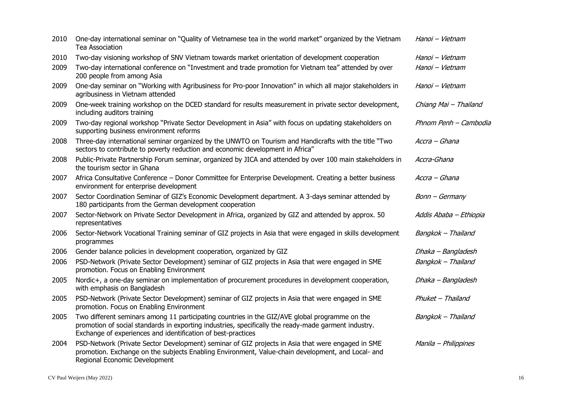| 2010 | One-day international seminar on "Quality of Vietnamese tea in the world market" organized by the Vietnam<br><b>Tea Association</b>                                                                                                                                    | Hanoi - Vietnam        |
|------|------------------------------------------------------------------------------------------------------------------------------------------------------------------------------------------------------------------------------------------------------------------------|------------------------|
| 2010 | Two-day visioning workshop of SNV Vietnam towards market orientation of development cooperation                                                                                                                                                                        | Hanoi - Vietnam        |
| 2009 | Two-day international conference on "Investment and trade promotion for Vietnam tea" attended by over<br>200 people from among Asia                                                                                                                                    | Hanoi - Vietnam        |
| 2009 | One-day seminar on "Working with Agribusiness for Pro-poor Innovation" in which all major stakeholders in<br>agribusiness in Vietnam attended                                                                                                                          | Hanoi - Vietnam        |
| 2009 | One-week training workshop on the DCED standard for results measurement in private sector development,<br>including auditors training                                                                                                                                  | Chiang Mai - Thailand  |
| 2009 | Two-day regional workshop "Private Sector Development in Asia" with focus on updating stakeholders on<br>supporting business environment reforms                                                                                                                       | Phnom Penh - Cambodia  |
| 2008 | Three-day international seminar organized by the UNWTO on Tourism and Handicrafts with the title "Two<br>sectors to contribute to poverty reduction and economic development in Africa"                                                                                | Accra - Ghana          |
| 2008 | Public-Private Partnership Forum seminar, organized by JICA and attended by over 100 main stakeholders in<br>the tourism sector in Ghana                                                                                                                               | Accra-Ghana            |
| 2007 | Africa Consultative Conference - Donor Committee for Enterprise Development. Creating a better business<br>environment for enterprise development                                                                                                                      | Accra - Ghana          |
| 2007 | Sector Coordination Seminar of GIZ's Economic Development department. A 3-days seminar attended by<br>180 participants from the German development cooperation                                                                                                         | Bonn - Germany         |
| 2007 | Sector-Network on Private Sector Development in Africa, organized by GIZ and attended by approx. 50<br>representatives                                                                                                                                                 | Addis Ababa - Ethiopia |
| 2006 | Sector-Network Vocational Training seminar of GIZ projects in Asia that were engaged in skills development<br>programmes                                                                                                                                               | Bangkok - Thailand     |
| 2006 | Gender balance policies in development cooperation, organized by GIZ                                                                                                                                                                                                   | Dhaka - Bangladesh     |
| 2006 | PSD-Network (Private Sector Development) seminar of GIZ projects in Asia that were engaged in SME<br>promotion. Focus on Enabling Environment                                                                                                                          | Bangkok - Thailand     |
| 2005 | Nordic+, a one-day seminar on implementation of procurement procedures in development cooperation,<br>with emphasis on Bangladesh                                                                                                                                      | Dhaka - Bangladesh     |
| 2005 | PSD-Network (Private Sector Development) seminar of GIZ projects in Asia that were engaged in SME<br>promotion. Focus on Enabling Environment                                                                                                                          | Phuket - Thailand      |
| 2005 | Two different seminars among 11 participating countries in the GIZ/AVE global programme on the<br>promotion of social standards in exporting industries, specifically the ready-made garment industry.<br>Exchange of experiences and identification of best-practices | Bangkok - Thailand     |
| 2004 | PSD-Network (Private Sector Development) seminar of GIZ projects in Asia that were engaged in SME<br>promotion. Exchange on the subjects Enabling Environment, Value-chain development, and Local- and<br>Regional Economic Development                                | Manila - Philippines   |